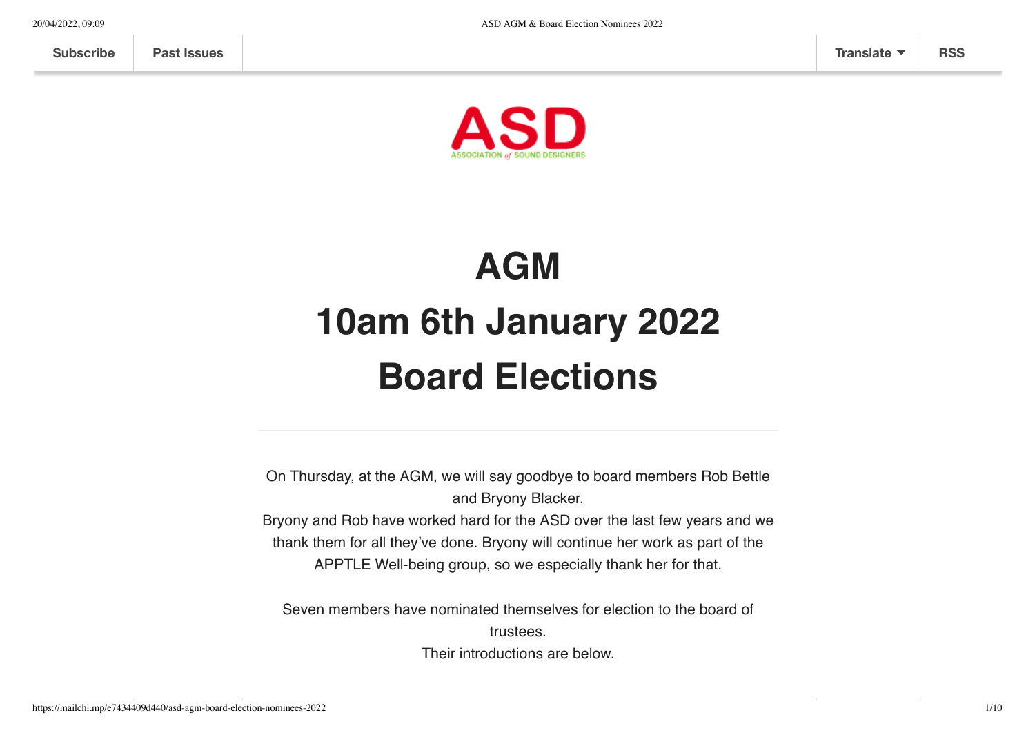

# **AGM 10am 6th January 2022 Board Elections**

On Thursday, at the AGM, we will say goodbye to board members Rob Bettle and Bryony Blacker.

Bryony and Rob have worked hard for the ASD over the last few years and we thank them for all they've done. Bryony will continue her work as part of the APPTLE Well-being group, so we especially thank her for that.

Seven members have nominated themselves for election to the board of trustees.

Their introductions are below.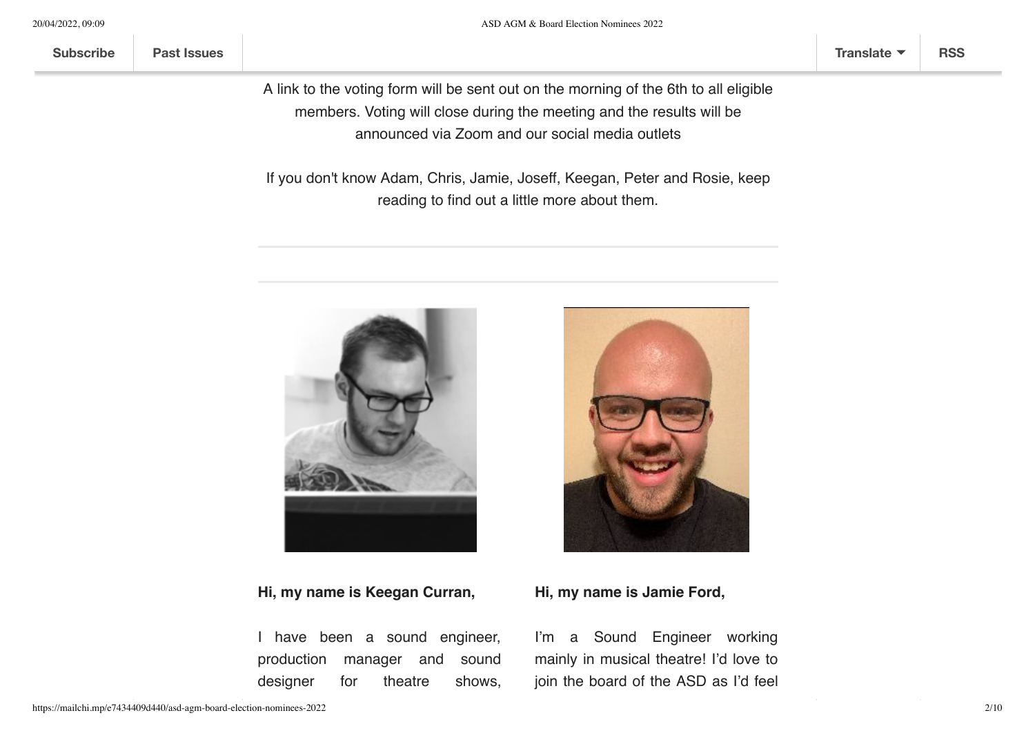A link to the voting form will be sent out on the morning of the 6th to all eligible members. Voting will close during the meeting and the results will be announced via Zoom and our social media outlets

If you don't know Adam, Chris, Jamie, Joseff, Keegan, Peter and Rosie, keep reading to find out a little more about them.



# **Hi, my name is Keegan Curran,**

I have been a sound engineer, production manager and sound designer for theatre shows,



## **Hi, my name is Jamie Ford,**

I'm a Sound Engineer working mainly in musical theatre! I'd love to join the board of the ASD as I'd feel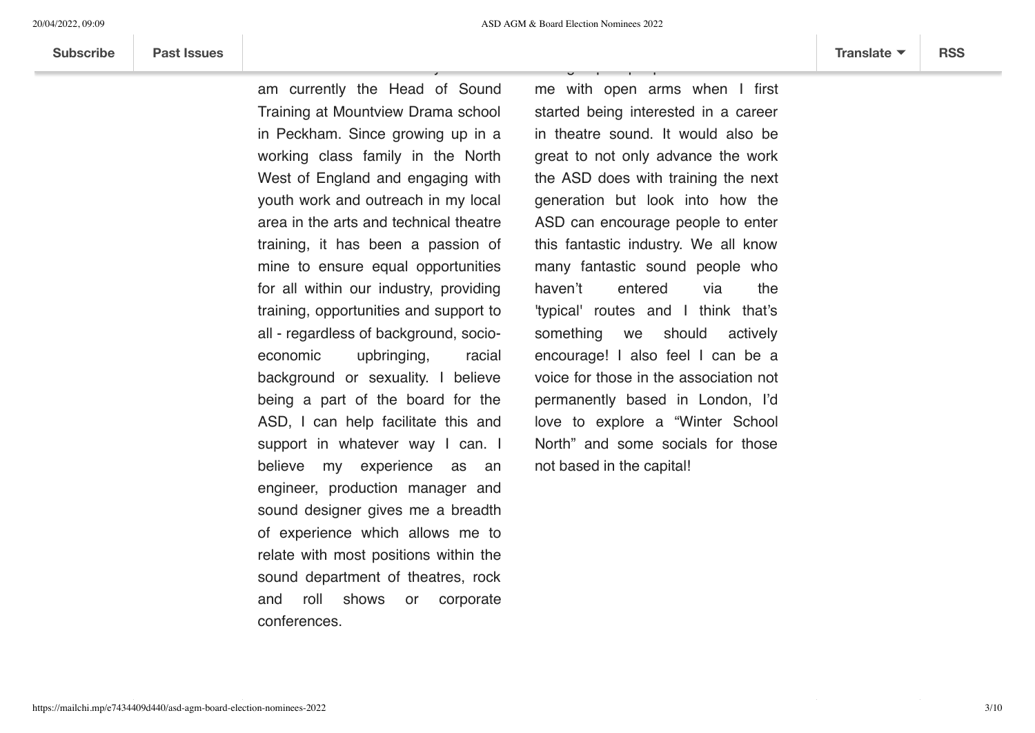am currently the Head of Sound Training at Mountview Drama school in Peckham. Since growing up in a working class family in the North West of England and engaging with youth work and outreach in my local area in the arts and technical theatre training, it has been a passion of mine to ensure equal opportunities for all within our industry, providing training, opportunities and support to all - regardless of background, socioeconomic upbringing, racial background or sexuality. I believe being a part of the board for the ASD, I can help facilitate this and support in whatever way I can. I believe my experience as an engineer, production manager and sound designer gives me a breadth of experience which allows me to relate with most positions within the sound department of theatres, rock and roll shows or corporate conferences.

roll shows for the last 10 years and

me with open arms when I first started being interested in a career in theatre sound. It would also be great to not only advance the work the ASD does with training the next generation but look into how the ASD can encourage people to enter this fantastic industry. We all know many fantastic sound people who haven't entered via the 'typical' routes and I think that's something we should actively encourage! I also feel I can be a voice for those in the association not permanently based in London, I'd love to explore a "Winter School North" and some socials for those not based in the capital!

to a group of people who welcomed who welcomed<br>Services who welcomed who welcomed who welcomed who welcomed who welcomed who welcomed who welcomed who welcom<br>Services who welcomed who welcomed who welcomed who welcomed who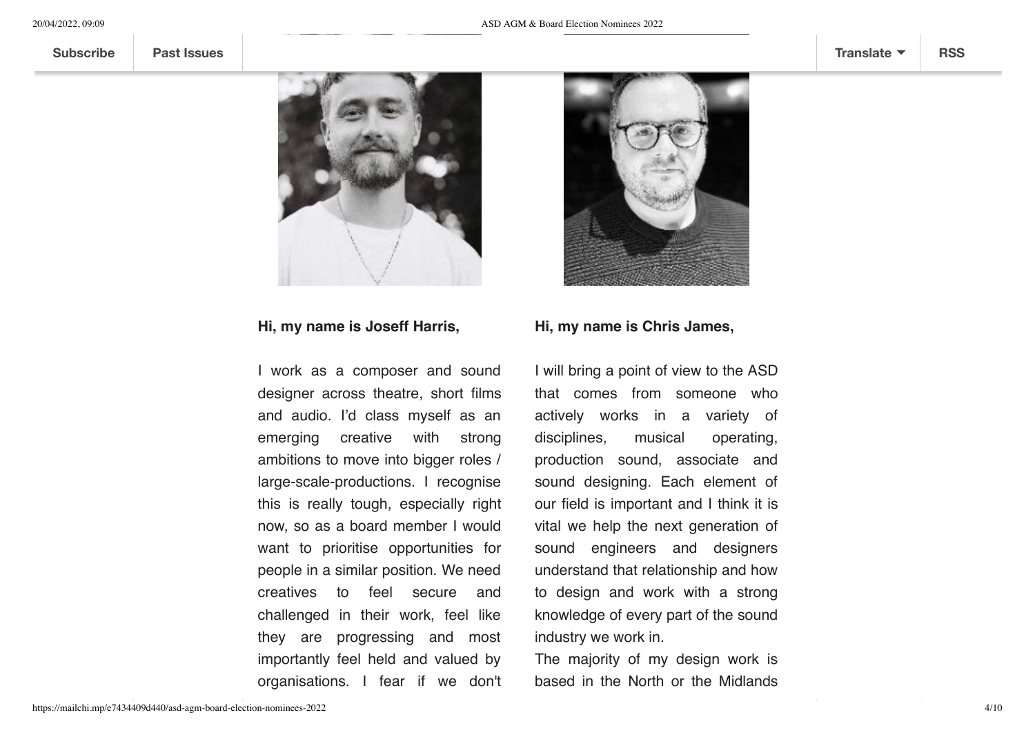

#### **Hi, my name is Joseff Harris,**

I work as a composer and sound designer across theatre, short films and audio. I'd class myself as an emerging creative with strong ambitions to move into bigger roles / large-scale-productions. I recognise this is really tough, especially right now, so as a board member I would want to prioritise opportunities for people in a similar position. We need creatives to feel secure and challenged in their work, feel like they are progressing and most importantly feel held and valued by organisations. I fear if we don't



#### **Hi, my name is Chris James,**

I will bring a point of view to the ASD that comes from someone who actively works in a variety of disciplines, musical operating, production sound, associate and sound designing. Each element of our field is important and I think it is vital we help the next generation of sound engineers and designers understand that relationship and how to design and work with a strong knowledge of every part of the sound industry we work in.

The majority of my design work is based in the North or the Midlands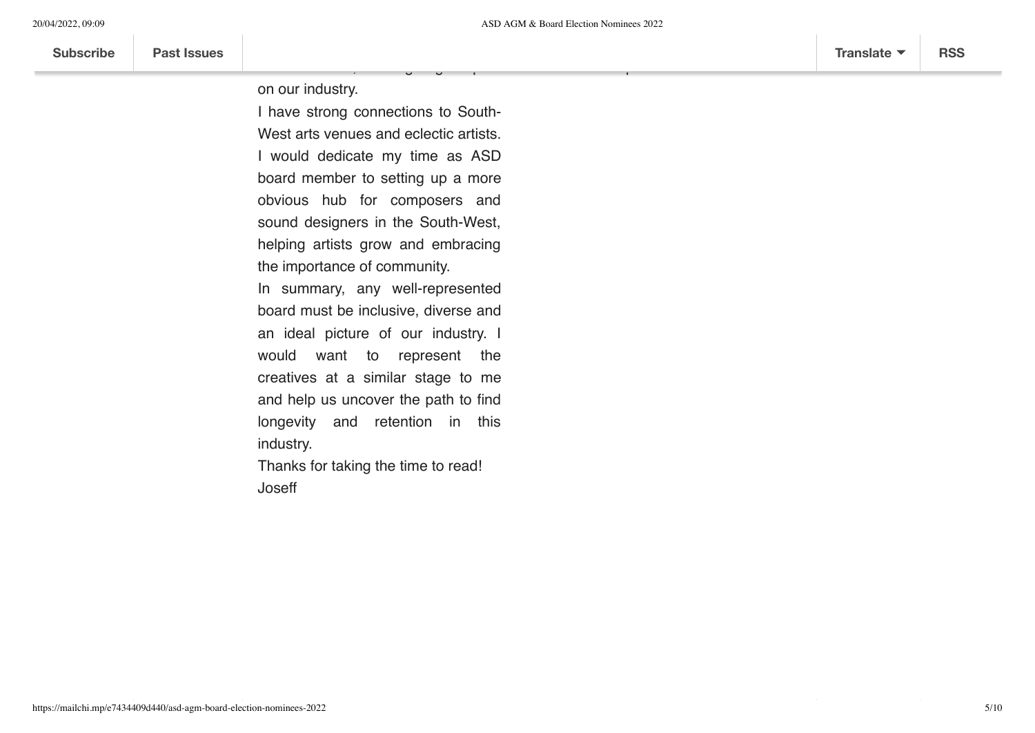voice from all parts of the UK.

on our industry.

I have strong connections to South-West arts venues and eclectic artists. I would dedicate my time as ASD board member to setting up a more obvious hub for composers and sound designers in the South-West, helping artists grow and embracing the importance of community.

.<br>factor lose them, causing impact impact impact impact impact in the second term of the second term in the seco

In summary, any well-represented board must be inclusive, diverse and an ideal picture of our industry. I would want to represent the creatives at a similar stage to me and help us uncover the path to find longevity and retention in this industry.

Thanks for taking the time to read! Joseff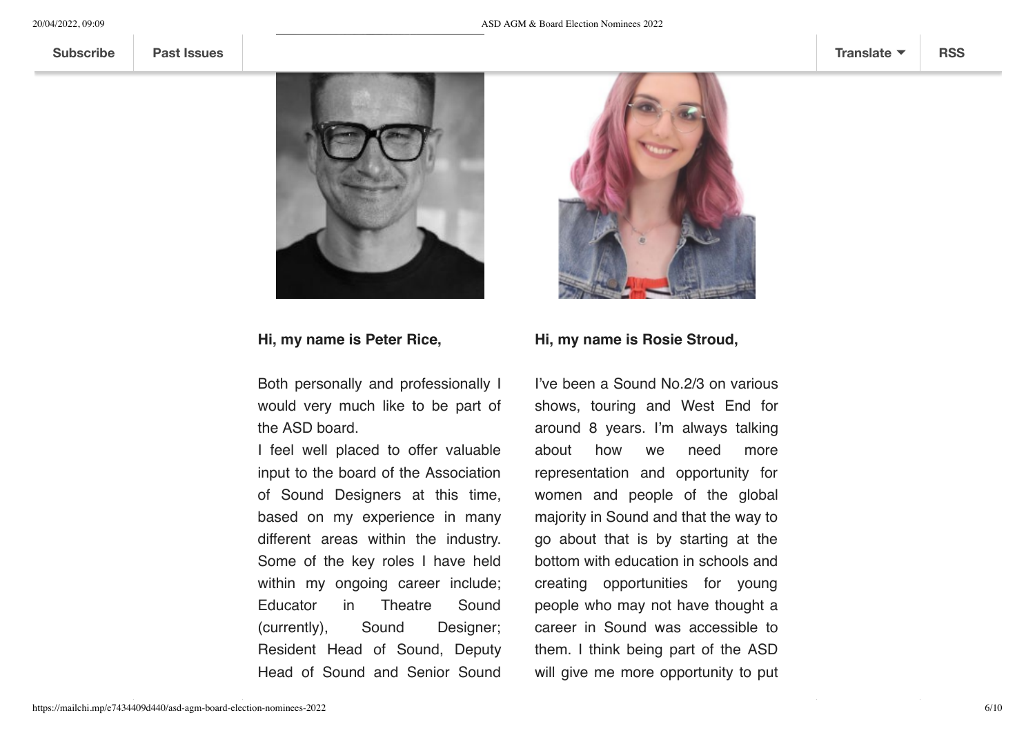

## **Hi, my name is Peter Rice,**

Both personally and professionally I would very much like to be part of the ASD board.

I feel well placed to offer valuable input to the board of the Association of Sound Designers at this time, based on my experience in many different areas within the industry. Some of the key roles I have held within my ongoing career include; Educator in Theatre Sound (currently), Sound Designer; Resident Head of Sound, Deputy Head of Sound and Senior Sound



# **Hi, my name is Rosie Stroud,**

I've been a Sound No.2/3 on various shows, touring and West End for around 8 years. I'm always talking about how we need more representation and opportunity for women and people of the global majority in Sound and that the way to go about that is by starting at the bottom with education in schools and creating opportunities for young people who may not have thought a career in Sound was accessible to them. I think being part of the ASD will give me more opportunity to put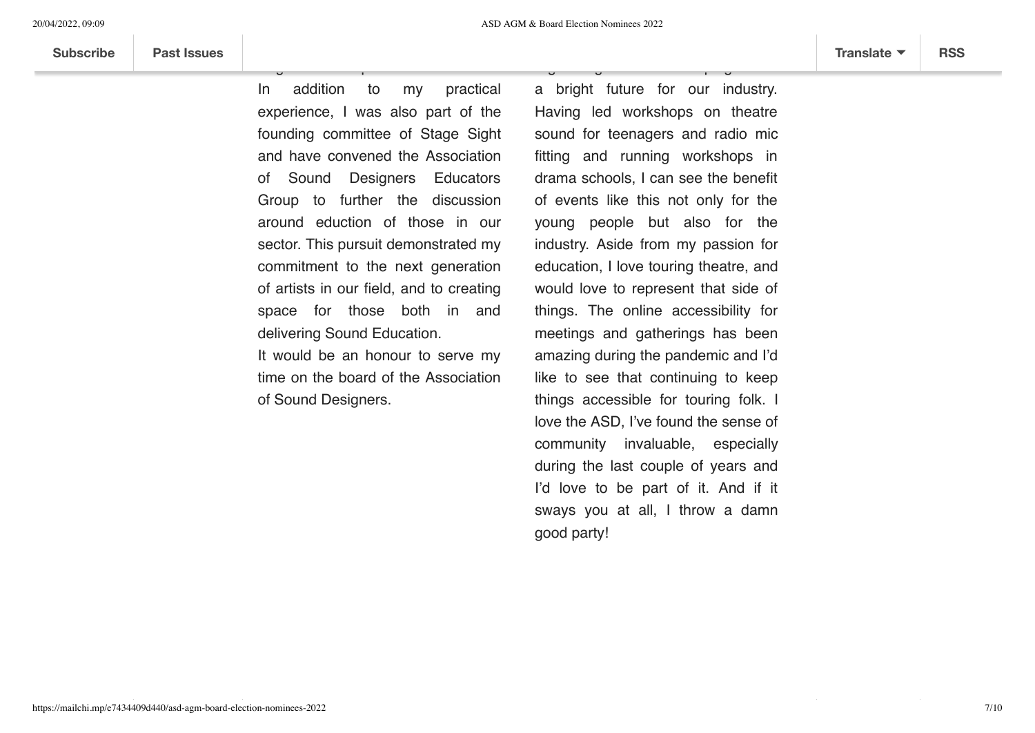In addition to my practical experience, I was also part of the founding committee of Stage Sight and have convened the Association of Sound Designers Educators Group to further the discussion around eduction of those in our sector. This pursuit demonstrated my commitment to the next generation of artists in our field, and to creating space for those both in and delivering Sound Education.

Engineer and Operator.

It would be an honour to serve my time on the board of the Association of Sound Designers.

a bright future for our industry. Having led workshops on theatre sound for teenagers and radio mic fitting and running workshops in drama schools, I can see the benefit of events like this not only for the young people but also for the industry. Aside from my passion for education, I love touring theatre, and would love to represent that side of things. The online accessibility for meetings and gatherings has been amazing during the pandemic and I'd like to see that continuing to keep things accessible for touring folk. I love the ASD, I've found the sense of community invaluable, especially during the last couple of years and I'd love to be part of it. And if it sways you at all, I throw a damn good party!

organising events and helping create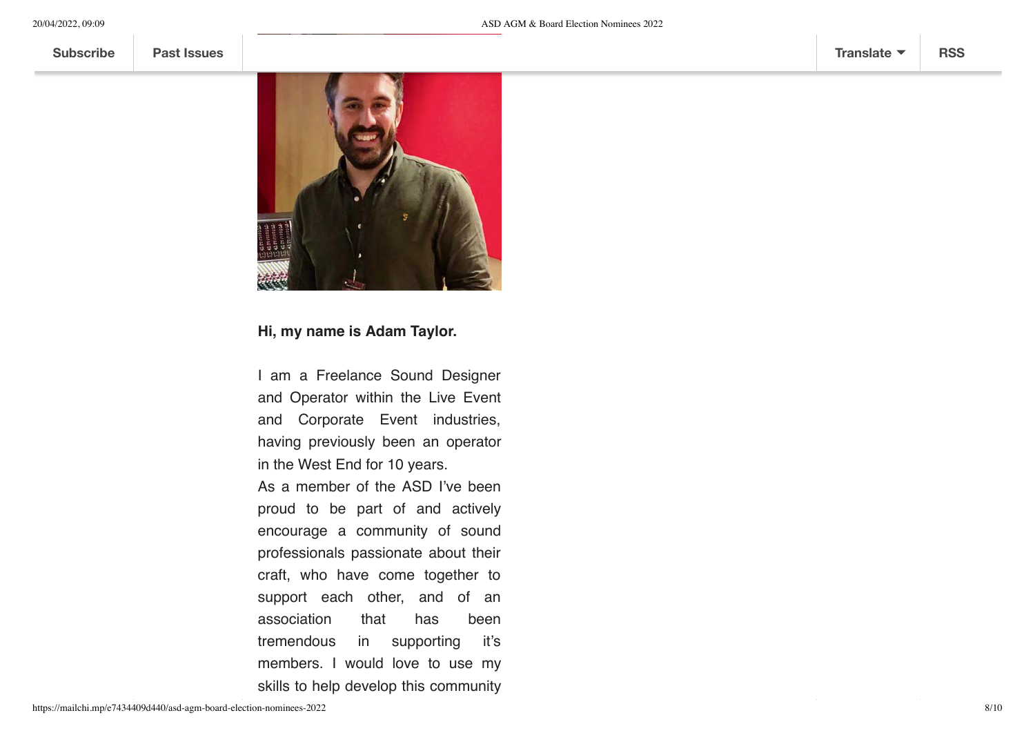

## **Hi, my name is Adam Taylor.**

I am a Freelance Sound Designer and Operator within the Live Event and Corporate Event industries, having previously been an operator in the West End for 10 years.

As a member of the ASD I've been proud to be part of and actively encourage a community of sound professionals passionate about their craft, who have come together to support each other, and of an association that has been tremendous in supporting it's members. I would love to use my skills to help develop this community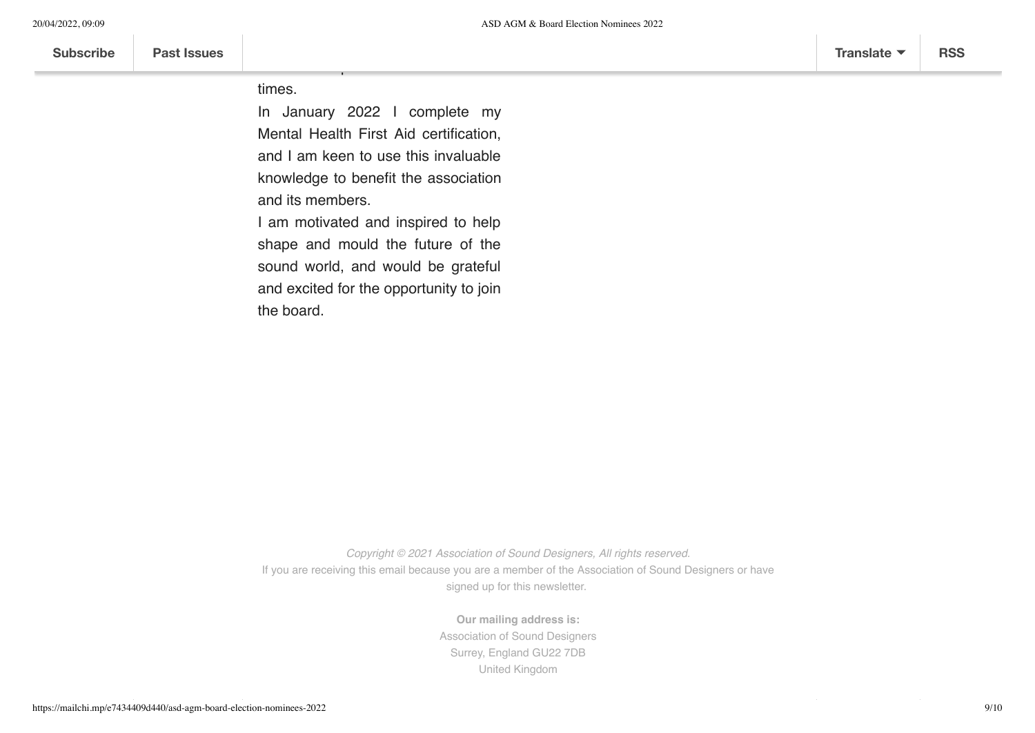times.

In January 2022 I complete my Mental Health First Aid certification, and I am keen to use this invaluable knowledge to benefit the association and its members.

these exceptional and uncertain

I am motivated and inspired to help shape and mould the future of the sound world, and would be grateful and excited for the opportunity to join the board.



*Copyright © 2021 Association of Sound Designers, All rights reserved.* If you are receiving this email because you are a member of the Association of Sound Designers or have signed up for this newsletter.

> **Our mailing address is:** Association of Sound Designers Surrey, England GU22 7DB United Kingdom